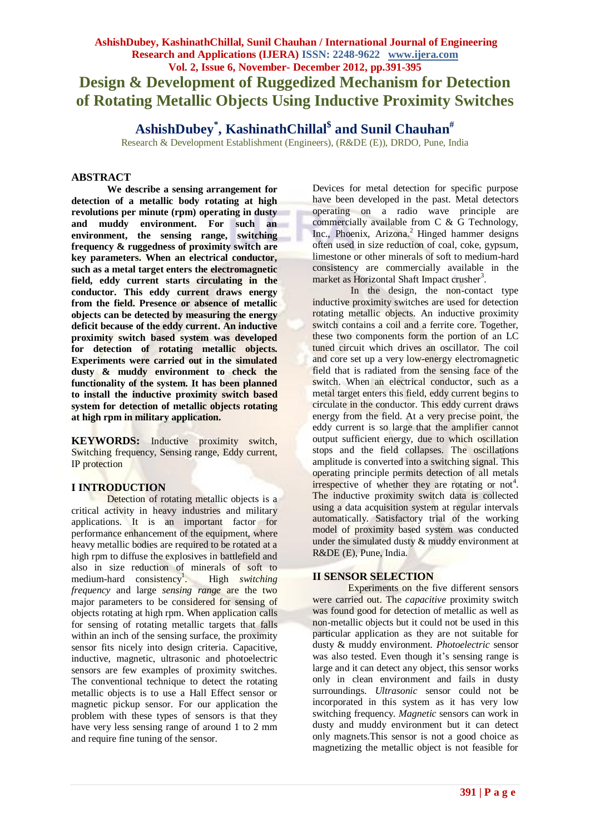# **AshishDubey, KashinathChillal, Sunil Chauhan / International Journal of Engineering Research and Applications (IJERA) ISSN: 2248-9622 www.ijera.com Vol. 2, Issue 6, November- December 2012, pp.391-395 Design & Development of Ruggedized Mechanism for Detection of Rotating Metallic Objects Using Inductive Proximity Switches**

**AshishDubey\* , KashinathChillal\$ and Sunil Chauhan#**

Research & Development Establishment (Engineers), (R&DE (E)), DRDO, Pune, India

#### **ABSTRACT**

**We describe a sensing arrangement for detection of a metallic body rotating at high revolutions per minute (rpm) operating in dusty and muddy environment. For such an environment, the sensing range, switching frequency & ruggedness of proximity switch are key parameters. When an electrical conductor, such as a metal target enters the electromagnetic field, eddy current starts circulating in the conductor. This eddy current draws energy from the field. Presence or absence of metallic objects can be detected by measuring the energy deficit because of the eddy current. An inductive proximity switch based system was developed for detection of rotating metallic objects. Experiments were carried out in the simulated dusty & muddy environment to check the functionality of the system. It has been planned to install the inductive proximity switch based system for detection of metallic objects rotating at high rpm in military application.**

**KEYWORDS:** Inductive proximity switch, Switching frequency, Sensing range, Eddy current, IP protection

#### **I INTRODUCTION**

Detection of rotating metallic objects is a critical activity in heavy industries and military applications. It is an important factor for performance enhancement of the equipment, where heavy metallic bodies are required to be rotated at a high rpm to diffuse the explosives in battlefield and also in size reduction of minerals of soft to  $median$ -hard consistency<sup>1</sup>. . High *switching frequency* and large *sensing range* are the two major parameters to be considered for sensing of objects rotating at high rpm. When application calls for sensing of rotating metallic targets that falls within an inch of the sensing surface, the proximity sensor fits nicely into design criteria. Capacitive, inductive, magnetic, ultrasonic and photoelectric sensors are few examples of proximity switches. The conventional technique to detect the rotating metallic objects is to use a Hall Effect sensor or magnetic pickup sensor. For our application the problem with these types of sensors is that they have very less sensing range of around 1 to 2 mm and require fine tuning of the sensor.

Devices for metal detection for specific purpose have been developed in the past. Metal detectors operating on a radio wave principle are commercially available from C & G Technology, Inc., Phoenix, Arizona. <sup>2</sup> Hinged hammer designs often used in size reduction of coal, coke, gypsum, limestone or other minerals of soft to medium-hard consistency are commercially available in the market as Horizontal Shaft Impact crusher<sup>3</sup>.

In the design, the non-contact type inductive proximity switches are used for detection rotating metallic objects. An inductive proximity switch contains a coil and a ferrite core. Together, these two components form the portion of an LC tuned circuit which drives an oscillator. The coil and core set up a very low-energy electromagnetic field that is radiated from the sensing face of the switch. When an electrical conductor, such as a metal target enters this field, eddy current begins to circulate in the conductor. This eddy current draws energy from the field. At a very precise point, the eddy current is so large that the amplifier cannot output sufficient energy, due to which oscillation stops and the field collapses. The oscillations amplitude is converted into a switching signal. This operating principle permits detection of all metals irrespective of whether they are rotating or not<sup>4</sup>. The inductive proximity switch data is collected using a data acquisition system at regular intervals automatically. Satisfactory trial of the working model of proximity based system was conducted under the simulated dusty & muddy environment at R&DE (E), Pune, India.

#### **II SENSOR SELECTION**

Experiments on the five different sensors were carried out. The *capacitive* proximity switch was found good for detection of metallic as well as non-metallic objects but it could not be used in this particular application as they are not suitable for dusty & muddy environment. *Photoelectric* sensor was also tested. Even though it's sensing range is large and it can detect any object, this sensor works only in clean environment and fails in dusty surroundings. *Ultrasonic* sensor could not be incorporated in this system as it has very low switching frequency. *Magnetic* sensors can work in dusty and muddy environment but it can detect only magnets.This sensor is not a good choice as magnetizing the metallic object is not feasible for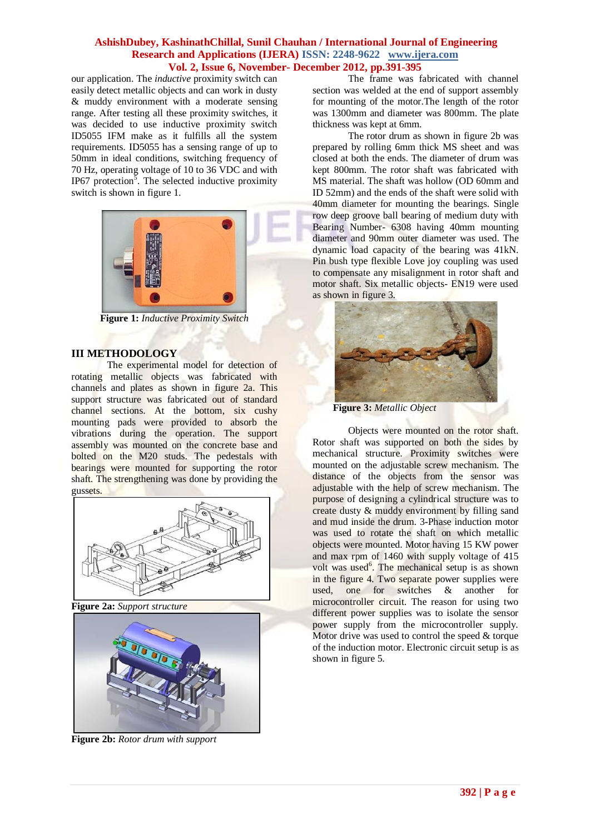our application. The *inductive* proximity switch can easily detect metallic objects and can work in dusty & muddy environment with a moderate sensing range. After testing all these proximity switches, it was decided to use inductive proximity switch ID5055 IFM make as it fulfills all the system requirements. ID5055 has a sensing range of up to 50mm in ideal conditions, switching frequency of 70 Hz, operating voltage of 10 to 36 VDC and with IP67 protection<sup>5</sup>. The selected inductive proximity switch is shown in figure 1.



**Figure 1:** *Inductive Proximity Switch*

#### **III METHODOLOGY**

The experimental model for detection of rotating metallic objects was fabricated with channels and plates as shown in figure 2a. This support structure was fabricated out of standard channel sections. At the bottom, six cushy mounting pads were provided to absorb the vibrations during the operation. The support assembly was mounted on the concrete base and bolted on the M20 studs. The pedestals with bearings were mounted for supporting the rotor shaft. The strengthening was done by providing the gussets.



**Figure 2a:** *Support structure*



**Figure 2b:** *Rotor drum with support*

The frame was fabricated with channel section was welded at the end of support assembly for mounting of the motor.The length of the rotor was 1300mm and diameter was 800mm. The plate thickness was kept at 6mm.

The rotor drum as shown in figure 2b was prepared by rolling 6mm thick MS sheet and was closed at both the ends. The diameter of drum was kept 800mm. The rotor shaft was fabricated with MS material. The shaft was hollow (OD 60mm and ID 52mm) and the ends of the shaft were solid with 40mm diameter for mounting the bearings. Single row deep groove ball bearing of medium duty with Bearing Number- 6308 having 40mm mounting diameter and 90mm outer diameter was used. The dynamic load capacity of the bearing was 41kN. Pin bush type flexible Love joy coupling was used to compensate any misalignment in rotor shaft and motor shaft. Six metallic objects- EN19 were used as shown in figure 3.



**Figure 3:** *Metallic Object*

Objects were mounted on the rotor shaft. Rotor shaft was supported on both the sides by mechanical structure. Proximity switches were mounted on the adjustable screw mechanism. The distance of the objects from the sensor was adjustable with the help of screw mechanism. The purpose of designing a cylindrical structure was to create dusty & muddy environment by filling sand and mud inside the drum. 3-Phase induction motor was used to rotate the shaft on which metallic objects were mounted. Motor having 15 KW power and max rpm of 1460 with supply voltage of 415 volt was used<sup>6</sup>. The mechanical setup is as shown in the figure 4. Two separate power supplies were used, one for switches & another for microcontroller circuit. The reason for using two different power supplies was to isolate the sensor power supply from the microcontroller supply. Motor drive was used to control the speed & torque of the induction motor. Electronic circuit setup is as shown in figure 5.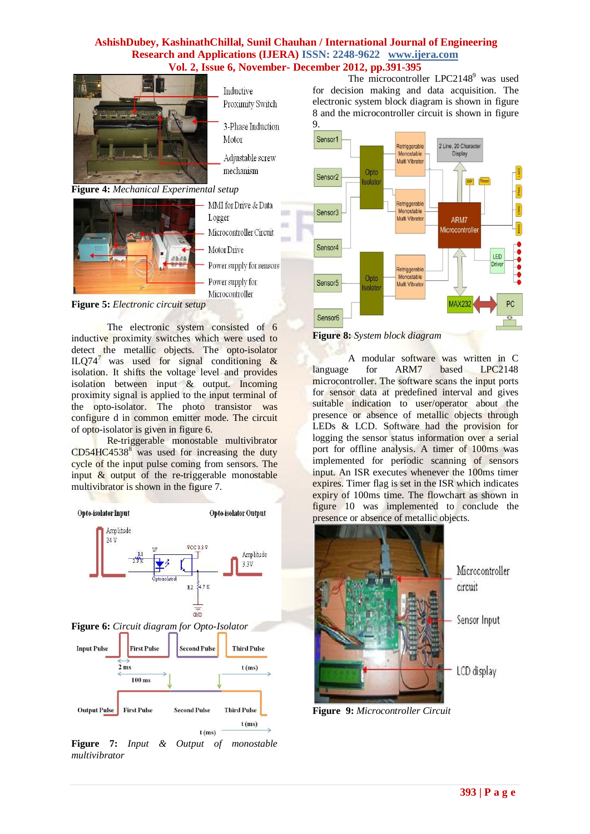

**Figure 4:** *Mechanical Experimental setup*



MMI for Drive & Data Logger Microcontroller Circuit Motor Drive Power supply for sensors Power supply for Microcontroller

Inductive Proximity Switch

Motor

3-Phase Induction

Adjustable screw

mechanism

**Figure 5:** *Electronic circuit setup*

The electronic system consisted of 6 inductive proximity switches which were used to detect the metallic objects. The opto-isolator ILQ74<sup>7</sup> was used for signal conditioning  $\&$ isolation. It shifts the voltage level and provides isolation between input & output. Incoming proximity signal is applied to the input terminal of the opto-isolator. The photo transistor was configure d in common emitter mode. The circuit of opto-isolator is given in figure 6.

Re-triggerable monostable multivibrator  $CD54HC4538<sup>8</sup>$  was used for increasing the duty cycle of the input pulse coming from sensors. The input  $\&$  output of the re-triggerable monostable multivibrator is shown in the figure 7.



**Figure 7:** *Input & Output of monostable multivibrator*

The microcontroller  $LPC2148^9$  was used for decision making and data acquisition. The electronic system block diagram is shown in figure 8 and the microcontroller circuit is shown in figure 9.



**Figure 8:** *System block diagram*

A modular software was written in C language for ARM7 based LPC2148 microcontroller. The software scans the input ports for sensor data at predefined interval and gives suitable indication to user/operator about the presence or absence of metallic objects through LEDs & LCD. Software had the provision for logging the sensor status information over a serial port for offline analysis. A timer of 100ms was implemented for periodic scanning of sensors input. An ISR executes whenever the 100ms timer expires. Timer flag is set in the ISR which indicates expiry of 100ms time. The flowchart as shown in figure 10 was implemented to conclude the presence or absence of metallic objects.



**Figure 9:** *Microcontroller Circuit*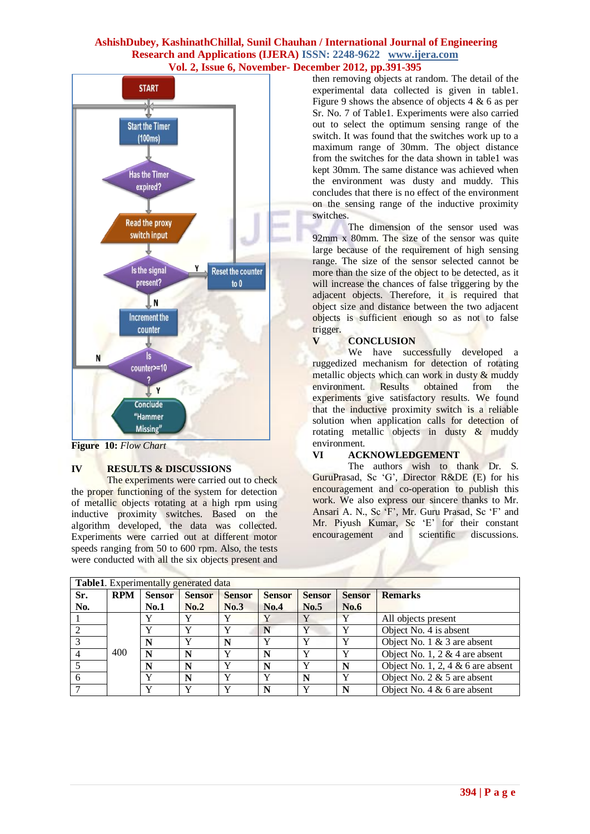

**Figure 10:** *Flow Chart*

#### **IV RESULTS & DISCUSSIONS**

The experiments were carried out to check the proper functioning of the system for detection of metallic objects rotating at a high rpm using inductive proximity switches. Based on the algorithm developed, the data was collected. Experiments were carried out at different motor speeds ranging from 50 to 600 rpm. Also, the tests were conducted with all the six objects present and then removing objects at random. The detail of the experimental data collected is given in table1. Figure 9 shows the absence of objects  $4 \& 6$  as per Sr. No. 7 of Table1. Experiments were also carried out to select the optimum sensing range of the switch. It was found that the switches work up to a maximum range of 30mm. The object distance from the switches for the data shown in table1 was kept 30mm. The same distance was achieved when the environment was dusty and muddy. This concludes that there is no effect of the environment on the sensing range of the inductive proximity switches.

The dimension of the sensor used was 92mm x 80mm. The size of the sensor was quite large because of the requirement of high sensing range. The size of the sensor selected cannot be more than the size of the object to be detected, as it will increase the chances of false triggering by the adjacent objects. Therefore, it is required that object size and distance between the two adjacent objects is sufficient enough so as not to false trigger.

#### **V CONCLUSION**

We have successfully developed a ruggedized mechanism for detection of rotating metallic objects which can work in dusty & muddy environment. Results obtained from the experiments give satisfactory results. We found that the inductive proximity switch is a reliable solution when application calls for detection of rotating metallic objects in dusty & muddy environment.

#### **VI ACKNOWLEDGEMENT**

The authors wish to thank Dr. S. GuruPrasad, Sc 'G', Director R&DE (E) for his encouragement and co-operation to publish this work. We also express our sincere thanks to Mr. Ansari A. N., Sc 'F', Mr. Guru Prasad, Sc 'F' and Mr. Piyush Kumar, Sc 'E' for their constant encouragement and scientific discussions.

| Table1. Experimentally generated data |            |               |               |               |               |               |               |                                     |
|---------------------------------------|------------|---------------|---------------|---------------|---------------|---------------|---------------|-------------------------------------|
| Sr.                                   | <b>RPM</b> | <b>Sensor</b> | <b>Sensor</b> | <b>Sensor</b> | <b>Sensor</b> | <b>Sensor</b> | <b>Sensor</b> | <b>Remarks</b>                      |
| No.                                   |            | No.1          | No.2          | No.3          | No.4          | No.5          | No.6          |                                     |
|                                       |            |               |               | Y             |               |               | V             | All objects present                 |
|                                       |            |               | $\mathbf v$   | Y             |               |               | v             | Object No. 4 is absent              |
|                                       |            |               | $\mathbf{v}$  | N             | $\mathbf{v}$  | $\mathbf{v}$  | $\mathbf v$   | Object No. $1 \& 3$ are absent      |
|                                       | 400        | N             |               | v             | N             |               | $\mathbf v$   | Object No. 1, 2 & 4 are absent      |
|                                       |            |               | N             | Y             | N             |               | N             | Object No. 1, 2, 4 $& 6$ are absent |
|                                       |            | $\mathbf{v}$  | N             | Y             | $\mathbf v$   | N             | $\mathbf v$   | Object No. $2 \& 5$ are absent      |
|                                       |            |               |               |               | N             |               | N             | Object No. 4 $& 6$ are absent       |